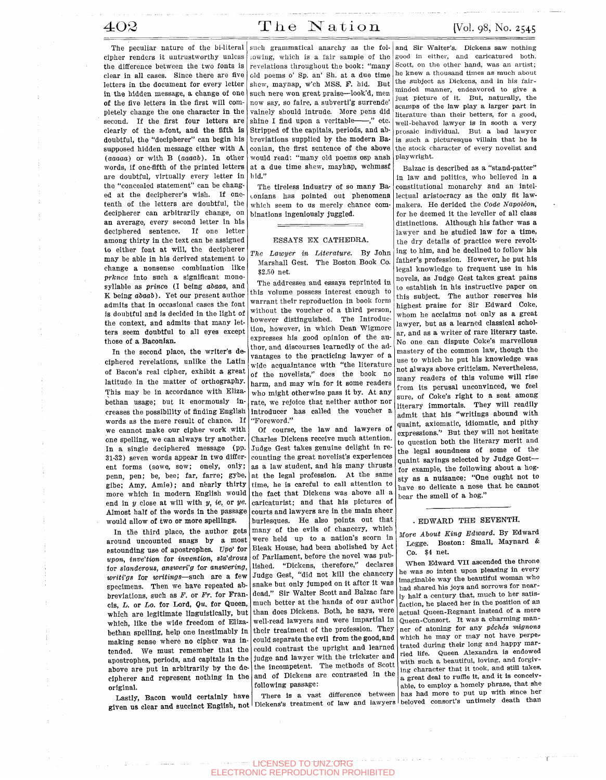The peculiar nature of the bi-literal cipher renders it untrustworthy unless the difference between the two fonts is clear in all cases. Since there are five letters in the document for every letter in the hidden message, a change of one of the five letters in the first will completely change the one character in the second. If the first four letters are clearly of the a-font, and the fifth is doubtful, the "decipherer" can begin his supposed hidden message either with A *(aaaaa)* or with B *(aaaal)).* In other words, if one-fifth of the printed letters are doubtful, virtually every letter in the "concealed statement" can be changed at the decipherer's wish. If onetenth of the letters are doubtful, the decipherer can arbitrarily change, on an average, every second letter in his deciphered sentence. If one letter among thirty in the text can be assigned to either font at will, the decipherer may be able in his derived statement to change a nonsense combination like *prknce* into such a significant monosyllable as *prince* (I being *abaaa,* and K being *abaab).* Yet our present author admits that in occasional cases the font is doubtful and is decided in the light of the context, and admits that many letters seem doubtful to all eyes except those of a Baconian.

In the second place, the writer's deciphered revelations, unlike the Latin of Bacon's real cipher, exhibit a great latitude in the matter of orthography. This may be in accordance with Elizabethan usage; but it enormously increases the possibility of finding English words as the mere result of chance. If we cannot make our cipher work with one spelling, we can always try another. In a single deciphered message (pp. 31-32) seven words appear in two different forms (sowe, sow; onely, only; penn, pen; be, bee; far, farre; gybe, gibe; Amy, Amie); and nearly thirty more which in modern English would end in *y* close at will with *y, ie,* or *ye.*  Almost half of the words in the passage would allow of two or more spellings.

In the third place, the author gets around uncounted snags by a most astounding use of apostrophes. *Vpo'* for *upon, invention* for *invention, sla'drous*  for *slanderous*, answeri'g for answering, *writi'gs* for *writings*—such are a few specimens. Then we have repeated abbreviations, such as *F.* or *Fr.* for Francis, *L.* or *Lo.* for Lord, *Qu.* for Queen, which, like the wide freedom of Elizabethan spelling, help one inestimably in making sense where no cipher was inabove are put in arbitrarily by the decipherer and represent nothing in the original.

Lastly, Bacon would certainly have

lowing, which is a fair sample of the revelations throughout the book: "many old poems o' Sp. an' Sh. at a due time shew, mayhap, w'ch MSS. F. hid. But such nere won great praise—look'd, men now say, so faire, a subvertl'g surrende' vainely should intrude. More pens did shine I find upon a veritable---," etc. Stripped of the capitals, periods, and abbreviations supplied by the modern Baconian, the first sentence of the above would read: "many old poems osp ansh at a due time shew, mayhap, wchmssf hid."

The tireless industry of so many Baconians has pointed out phenomena which seem to us merely chance combinations ingeniously juggled.

## ESSAYS EX CATHEDRA.

*The Lawyer in Literature.* By John Marshall Gest. The Boston Book Co. \$2.50 net.

The addresses and essays reprinted in this volume possess interest enough to warrant their reproduction in book form without the voucher of a third person, however distinguished. The Introduction, however, in which Dean Wigmore expresses his good opinion of the author, and discourses learnedly of the advantages to the practicing lawyer of a wide acquaintance with "the literature of the novelists," does the book no harm, and may win for it some readers who might otherwise pass It by. At any rate, we rejoice that neither author nor introducer has called the voucher a "Foreword."

which are legitimate linguistically, but than does Dickens. Both, he says, were making sense where no cipher was in could separate and the could contrast the upright and learned tended. We must remember that the could contrast the upright and the line<br>apostrophes, periods, and capitals in the judge and lawyer with the trickster and Of course, the law and lawyers of Charles Dickens receive much attention. Judge Gest takes genuine delight in recounting the great novelist's experiences as a law student, and his many thrusts at the legal profession. At the same time, he is careful to call attention to the fact that Dickens was above all a caricaturist; and that his pictures of courts and lawyers are in the main sheer burlesques. He also points out that many of the evils of chancery, which were held up to a nation's scorn in Bleak House, had been abolished by Act of Parliament, before the novel was published. "Dickens, therefore," declares Judge Gest, "did not kill the chancery snake but only jumped on it after It was dead." Sir Walter Scott and Balzac fare much better at the hands of our author well-read lawyers and were impartial in their treatment of the profession. They could separate the evil from the good, and the incompetent. The methods of Scott the incompetent. The methods of Scott<br>and of Dickens are contrasted in the following passage:

Lastly, Bacon would certainly have increased that difference and lawyers beloved consort's untimely death than<br>given us clear and succinct English, not Dickens's treatment of law and lawyers beloved consort's untimely deat There is a vast difference between

such grammatical anarchy as the fol- and Sir Walter's. Dickens saw nothing good in either, and caricatured both. Scott, on the other hand, was an artist; he knew a thousand times as much about the subject as Dickens, and in his fairminded manner, endeavored to give a just picture of it. But, naturally, the scamps of the law play a larger part in literature than their betters, for a good, well-behaved lawyer is in sooth a very piosaic individual. But a bad lawyer is such a picturesque villain that he is the stock character of every novelist and playwright.

> Balzac is described as a "stand-patter" in law and politics, who believed in a constitutional monarchy and an intellectual aristocracy as the only fit lawmakers. He derided the *Code Napoleon,*  for he deemed it the leveller of all class distinctions. Although his father was a lawyer and he studied law for a time, the dry details of practice were revolting to him, and he declined to follow his father's profession. However, he put his legal knowledge to frequent use in his novels, as Judge Gest takes great pains to establish in his instructive paper on this subject. The author reserves his highest praise for Sir Edward Coke, whom he acclaims not only as a great lawyer, but as a learned classical scholar, and as a writer of rare literary taste. No one can dispute Coke's marvellous mastery of the common law, though the use to which he put his knowledge was not always above criticism. Nevertheless, many readers of this volume will rise many readers of this volume will rise<br>from its perusal unconvinced, we feel from its perusal unconvinced, we leed<br>sure, of Coke's right to a seat among sure, of Coke's right to a seat among<br>literary immortals. They will readily admit that his "writings abound with quaint, axiomatic, idiomatic, and pithy expressions." But they will not hesitate to question both the literary merit and<br>the legal soundness of some of the quaint sayings selected by Judge Gest—<br>for example, the following about a hogfor example, the following about a nog-<br>example in the conduct of the congress of the tohave a state a nuisance: "One ought not to state a noise that he cannot have so delicate a nose that he cannot bear the smell of a hog."

## . EDWARD THE SEVENTH.

*More About King Edward.* By Edward Legge. Boston: Small, Maynard & Co. \$4 net.

When Edward VII ascended the throne he was so intent upon pleasing in every Imaginable way the beautiful woman who had shared his joys and sorrows for nearly half a century that, much to her satisfaction, he placed her in the position of an actual Queen-Regnant instead of a mere Queen-Consort. It was a charming manner of atoning for any *pechis mlgnons*  which he may or may not have perpetrated during their long and happy married life. Queen Alexandra is endowed with such a beautiful, loving, and forgiving character that it took, and still takes, a great deal to ruffle it, and it Is conceivable, to employ a homely phrase, that she has had more to put up with since her